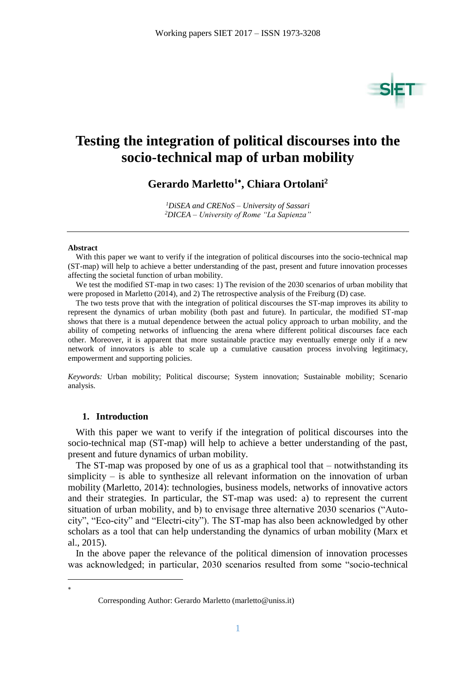

# **Testing the integration of political discourses into the socio-technical map of urban mobility**

**Gerardo Marletto<sup>1</sup> , Chiara Ortolani<sup>2</sup>**

*<sup>1</sup>DiSEA and CRENoS – University of Sassari <sup>2</sup>DICEA – University of Rome "La Sapienza"*

#### **Abstract**

With this paper we want to verify if the integration of political discourses into the socio-technical map (ST-map) will help to achieve a better understanding of the past, present and future innovation processes affecting the societal function of urban mobility.

We test the modified ST-map in two cases: 1) The revision of the 2030 scenarios of urban mobility that were proposed in Marletto (2014), and 2) The retrospective analysis of the Freiburg (D) case.

The two tests prove that with the integration of political discourses the ST-map improves its ability to represent the dynamics of urban mobility (both past and future). In particular, the modified ST-map shows that there is a mutual dependence between the actual policy approach to urban mobility, and the ability of competing networks of influencing the arena where different political discourses face each other. Moreover, it is apparent that more sustainable practice may eventually emerge only if a new network of innovators is able to scale up a cumulative causation process involving legitimacy, empowerment and supporting policies.

*Keywords:* Urban mobility; Political discourse; System innovation; Sustainable mobility; Scenario analysis.

#### **1. Introduction**

With this paper we want to verify if the integration of political discourses into the socio-technical map (ST-map) will help to achieve a better understanding of the past, present and future dynamics of urban mobility.

The ST-map was proposed by one of us as a graphical tool that – notwithstanding its simplicity – is able to synthesize all relevant information on the innovation of urban mobility (Marletto, 2014): technologies, business models, networks of innovative actors and their strategies. In particular, the ST-map was used: a) to represent the current situation of urban mobility, and b) to envisage three alternative 2030 scenarios ("Autocity", "Eco-city" and "Electri-city"). The ST-map has also been acknowledged by other scholars as a tool that can help understanding the dynamics of urban mobility (Marx et al., 2015).

In the above paper the relevance of the political dimension of innovation processes was acknowledged; in particular, 2030 scenarios resulted from some "socio-technical

 $\overline{a}$ \*

Corresponding Author: Gerardo Marletto (marletto@uniss.it)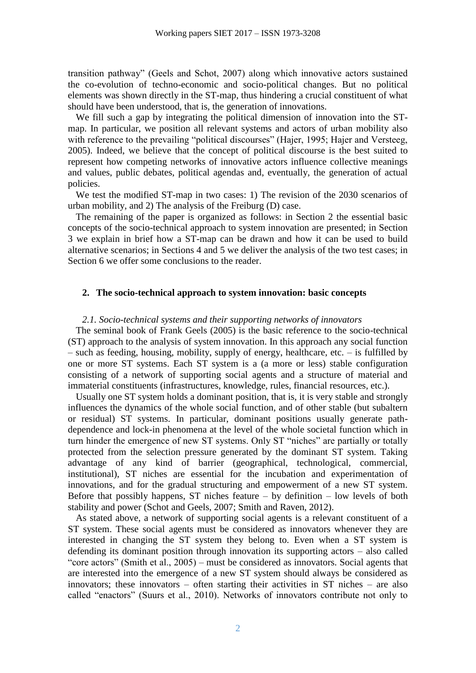transition pathway" (Geels and Schot, 2007) along which innovative actors sustained the co-evolution of techno-economic and socio-political changes. But no political elements was shown directly in the ST-map, thus hindering a crucial constituent of what should have been understood, that is, the generation of innovations.

We fill such a gap by integrating the political dimension of innovation into the STmap. In particular, we position all relevant systems and actors of urban mobility also with reference to the prevailing "political discourses" (Hajer, 1995; Hajer and Versteeg, 2005). Indeed, we believe that the concept of political discourse is the best suited to represent how competing networks of innovative actors influence collective meanings and values, public debates, political agendas and, eventually, the generation of actual policies.

We test the modified ST-map in two cases: 1) The revision of the 2030 scenarios of urban mobility, and 2) The analysis of the Freiburg (D) case.

The remaining of the paper is organized as follows: in Section 2 the essential basic concepts of the socio-technical approach to system innovation are presented; in Section 3 we explain in brief how a ST-map can be drawn and how it can be used to build alternative scenarios; in Sections 4 and 5 we deliver the analysis of the two test cases; in Section 6 we offer some conclusions to the reader.

## **2. The socio-technical approach to system innovation: basic concepts**

#### *2.1. Socio-technical systems and their supporting networks of innovators*

The seminal book of Frank Geels (2005) is the basic reference to the socio-technical (ST) approach to the analysis of system innovation. In this approach any social function – such as feeding, housing, mobility, supply of energy, healthcare, etc. – is fulfilled by one or more ST systems. Each ST system is a (a more or less) stable configuration consisting of a network of supporting social agents and a structure of material and immaterial constituents (infrastructures, knowledge, rules, financial resources, etc.).

Usually one ST system holds a dominant position, that is, it is very stable and strongly influences the dynamics of the whole social function, and of other stable (but subaltern or residual) ST systems. In particular, dominant positions usually generate pathdependence and lock-in phenomena at the level of the whole societal function which in turn hinder the emergence of new ST systems. Only ST "niches" are partially or totally protected from the selection pressure generated by the dominant ST system. Taking advantage of any kind of barrier (geographical, technological, commercial, institutional), ST niches are essential for the incubation and experimentation of innovations, and for the gradual structuring and empowerment of a new ST system. Before that possibly happens, ST niches feature  $-$  by definition  $-$  low levels of both stability and power (Schot and Geels, 2007; Smith and Raven, 2012).

As stated above, a network of supporting social agents is a relevant constituent of a ST system. These social agents must be considered as innovators whenever they are interested in changing the ST system they belong to. Even when a ST system is defending its dominant position through innovation its supporting actors – also called "core actors" (Smith et al., 2005) – must be considered as innovators. Social agents that are interested into the emergence of a new ST system should always be considered as innovators; these innovators – often starting their activities in ST niches – are also called "enactors" (Suurs et al., 2010). Networks of innovators contribute not only to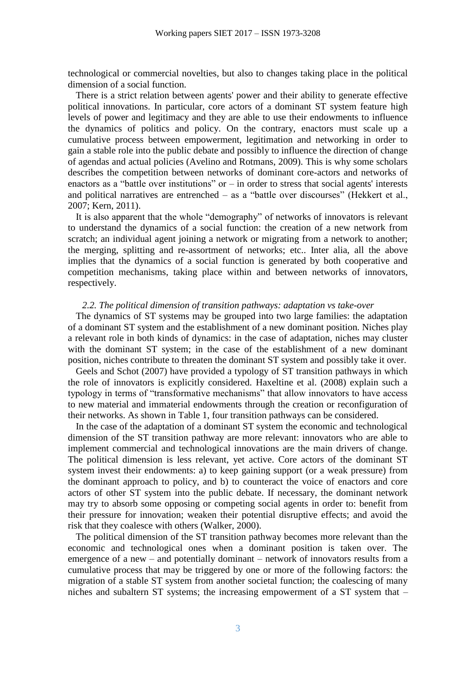technological or commercial novelties, but also to changes taking place in the political dimension of a social function.

There is a strict relation between agents' power and their ability to generate effective political innovations. In particular, core actors of a dominant ST system feature high levels of power and legitimacy and they are able to use their endowments to influence the dynamics of politics and policy. On the contrary, enactors must scale up a cumulative process between empowerment, legitimation and networking in order to gain a stable role into the public debate and possibly to influence the direction of change of agendas and actual policies (Avelino and Rotmans, 2009). This is why some scholars describes the competition between networks of dominant core-actors and networks of enactors as a "battle over institutions" or  $-$  in order to stress that social agents' interests and political narratives are entrenched – as a "battle over discourses" (Hekkert et al., 2007; Kern, 2011).

It is also apparent that the whole "demography" of networks of innovators is relevant to understand the dynamics of a social function: the creation of a new network from scratch; an individual agent joining a network or migrating from a network to another; the merging, splitting and re-assortment of networks; etc.. Inter alia, all the above implies that the dynamics of a social function is generated by both cooperative and competition mechanisms, taking place within and between networks of innovators, respectively.

#### *2.2. The political dimension of transition pathways: adaptation vs take-over*

The dynamics of ST systems may be grouped into two large families: the adaptation of a dominant ST system and the establishment of a new dominant position. Niches play a relevant role in both kinds of dynamics: in the case of adaptation, niches may cluster with the dominant ST system; in the case of the establishment of a new dominant position, niches contribute to threaten the dominant ST system and possibly take it over.

Geels and Schot (2007) have provided a typology of ST transition pathways in which the role of innovators is explicitly considered. Haxeltine et al. (2008) explain such a typology in terms of "transformative mechanisms" that allow innovators to have access to new material and immaterial endowments through the creation or reconfiguration of their networks. As shown in Table 1, four transition pathways can be considered.

In the case of the adaptation of a dominant ST system the economic and technological dimension of the ST transition pathway are more relevant: innovators who are able to implement commercial and technological innovations are the main drivers of change. The political dimension is less relevant, yet active. Core actors of the dominant ST system invest their endowments: a) to keep gaining support (or a weak pressure) from the dominant approach to policy, and b) to counteract the voice of enactors and core actors of other ST system into the public debate. If necessary, the dominant network may try to absorb some opposing or competing social agents in order to: benefit from their pressure for innovation; weaken their potential disruptive effects; and avoid the risk that they coalesce with others (Walker, 2000).

The political dimension of the ST transition pathway becomes more relevant than the economic and technological ones when a dominant position is taken over. The emergence of a new – and potentially dominant – network of innovators results from a cumulative process that may be triggered by one or more of the following factors: the migration of a stable ST system from another societal function; the coalescing of many niches and subaltern ST systems; the increasing empowerment of a ST system that –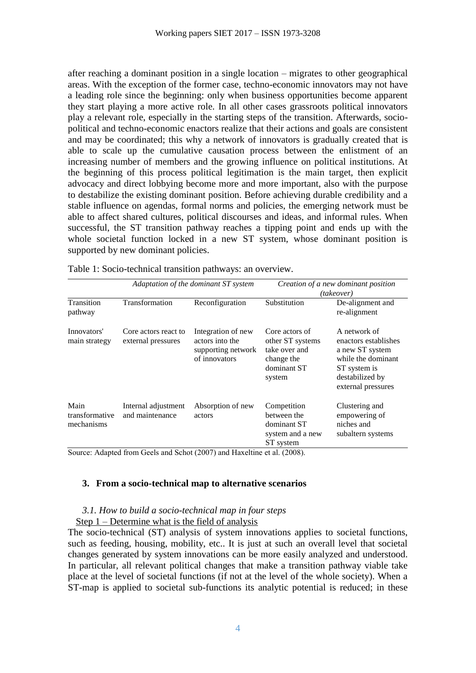after reaching a dominant position in a single location – migrates to other geographical areas. With the exception of the former case, techno-economic innovators may not have a leading role since the beginning: only when business opportunities become apparent they start playing a more active role. In all other cases grassroots political innovators play a relevant role, especially in the starting steps of the transition. Afterwards, sociopolitical and techno-economic enactors realize that their actions and goals are consistent and may be coordinated; this why a network of innovators is gradually created that is able to scale up the cumulative causation process between the enlistment of an increasing number of members and the growing influence on political institutions. At the beginning of this process political legitimation is the main target, then explicit advocacy and direct lobbying become more and more important, also with the purpose to destabilize the existing dominant position. Before achieving durable credibility and a stable influence on agendas, formal norms and policies, the emerging network must be able to affect shared cultures, political discourses and ideas, and informal rules. When successful, the ST transition pathway reaches a tipping point and ends up with the whole societal function locked in a new ST system, whose dominant position is supported by new dominant policies.

|                                      | Adaptation of the dominant ST system       |                                                                              | Creation of a new dominant position<br>(takeover)                                          |                                                                                                                                        |  |
|--------------------------------------|--------------------------------------------|------------------------------------------------------------------------------|--------------------------------------------------------------------------------------------|----------------------------------------------------------------------------------------------------------------------------------------|--|
| Transition<br>pathway                | Transformation                             | Reconfiguration                                                              | Substitution                                                                               | De-alignment and<br>re-alignment                                                                                                       |  |
| Innovators'<br>main strategy         | Core actors react to<br>external pressures | Integration of new<br>actors into the<br>supporting network<br>of innovators | Core actors of<br>other ST systems<br>take over and<br>change the<br>dominant ST<br>system | A network of<br>enactors establishes<br>a new ST system<br>while the dominant<br>ST system is<br>destabilized by<br>external pressures |  |
| Main<br>transformative<br>mechanisms | Internal adjustment<br>and maintenance     | Absorption of new<br>actors                                                  | Competition<br>between the<br>dominant ST<br>system and a new<br>ST system                 | Clustering and<br>empowering of<br>niches and<br>subaltern systems                                                                     |  |

Table 1: Socio-technical transition pathways: an overview.

Source: Adapted from Geels and Schot (2007) and Haxeltine et al. (2008).

## **3. From a socio-technical map to alternative scenarios**

## *3.1. How to build a socio-technical map in four steps*

## Step 1 – Determine what is the field of analysis

The socio-technical (ST) analysis of system innovations applies to societal functions, such as feeding, housing, mobility, etc.. It is just at such an overall level that societal changes generated by system innovations can be more easily analyzed and understood. In particular, all relevant political changes that make a transition pathway viable take place at the level of societal functions (if not at the level of the whole society). When a ST-map is applied to societal sub-functions its analytic potential is reduced; in these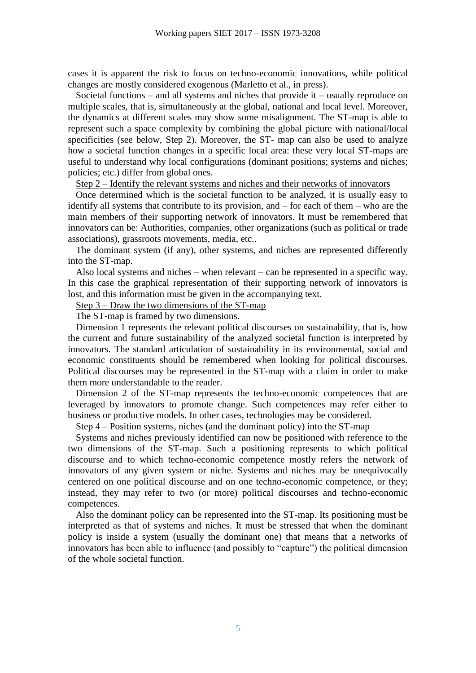cases it is apparent the risk to focus on techno-economic innovations, while political changes are mostly considered exogenous (Marletto et al., in press).

Societal functions – and all systems and niches that provide it – usually reproduce on multiple scales, that is, simultaneously at the global, national and local level. Moreover, the dynamics at different scales may show some misalignment. The ST-map is able to represent such a space complexity by combining the global picture with national/local specificities (see below, Step 2). Moreover, the ST- map can also be used to analyze how a societal function changes in a specific local area: these very local ST-maps are useful to understand why local configurations (dominant positions; systems and niches; policies; etc.) differ from global ones.

Step 2 – Identify the relevant systems and niches and their networks of innovators

Once determined which is the societal function to be analyzed, it is usually easy to identify all systems that contribute to its provision, and – for each of them – who are the main members of their supporting network of innovators. It must be remembered that innovators can be: Authorities, companies, other organizations (such as political or trade associations), grassroots movements, media, etc..

The dominant system (if any), other systems, and niches are represented differently into the ST-map.

Also local systems and niches – when relevant – can be represented in a specific way. In this case the graphical representation of their supporting network of innovators is lost, and this information must be given in the accompanying text.

Step 3 – Draw the two dimensions of the ST-map

The ST-map is framed by two dimensions.

Dimension 1 represents the relevant political discourses on sustainability, that is, how the current and future sustainability of the analyzed societal function is interpreted by innovators. The standard articulation of sustainability in its environmental, social and economic constituents should be remembered when looking for political discourses. Political discourses may be represented in the ST-map with a claim in order to make them more understandable to the reader.

Dimension 2 of the ST-map represents the techno-economic competences that are leveraged by innovators to promote change. Such competences may refer either to business or productive models. In other cases, technologies may be considered.

Step 4 – Position systems, niches (and the dominant policy) into the ST-map

Systems and niches previously identified can now be positioned with reference to the two dimensions of the ST-map. Such a positioning represents to which political discourse and to which techno-economic competence mostly refers the network of innovators of any given system or niche. Systems and niches may be unequivocally centered on one political discourse and on one techno-economic competence, or they; instead, they may refer to two (or more) political discourses and techno-economic competences.

Also the dominant policy can be represented into the ST-map. Its positioning must be interpreted as that of systems and niches. It must be stressed that when the dominant policy is inside a system (usually the dominant one) that means that a networks of innovators has been able to influence (and possibly to "capture") the political dimension of the whole societal function.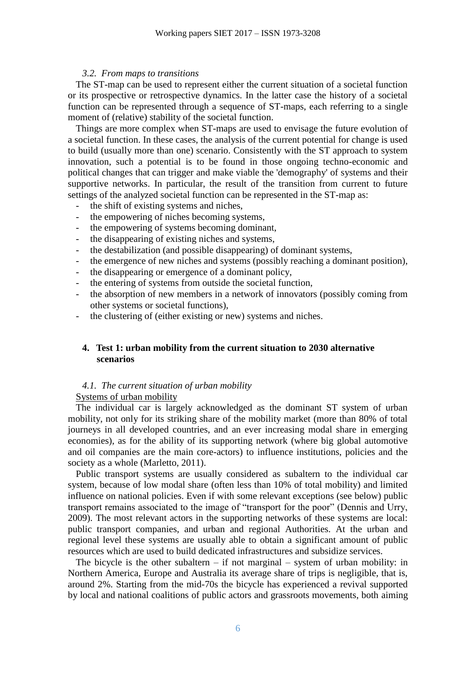#### *3.2. From maps to transitions*

The ST-map can be used to represent either the current situation of a societal function or its prospective or retrospective dynamics. In the latter case the history of a societal function can be represented through a sequence of ST-maps, each referring to a single moment of (relative) stability of the societal function.

Things are more complex when ST-maps are used to envisage the future evolution of a societal function. In these cases, the analysis of the current potential for change is used to build (usually more than one) scenario. Consistently with the ST approach to system innovation, such a potential is to be found in those ongoing techno-economic and political changes that can trigger and make viable the 'demography' of systems and their supportive networks. In particular, the result of the transition from current to future settings of the analyzed societal function can be represented in the ST-map as:

- the shift of existing systems and niches,
- the empowering of niches becoming systems,
- the empowering of systems becoming dominant,
- the disappearing of existing niches and systems,
- the destabilization (and possible disappearing) of dominant systems,
- the emergence of new niches and systems (possibly reaching a dominant position),
- the disappearing or emergence of a dominant policy,
- the entering of systems from outside the societal function,
- the absorption of new members in a network of innovators (possibly coming from other systems or societal functions),
- the clustering of (either existing or new) systems and niches.

## **4. Test 1: urban mobility from the current situation to 2030 alternative scenarios**

# *4.1. The current situation of urban mobility*

## Systems of urban mobility

The individual car is largely acknowledged as the dominant ST system of urban mobility, not only for its striking share of the mobility market (more than 80% of total journeys in all developed countries, and an ever increasing modal share in emerging economies), as for the ability of its supporting network (where big global automotive and oil companies are the main core-actors) to influence institutions, policies and the society as a whole (Marletto, 2011).

Public transport systems are usually considered as subaltern to the individual car system, because of low modal share (often less than 10% of total mobility) and limited influence on national policies. Even if with some relevant exceptions (see below) public transport remains associated to the image of "transport for the poor" (Dennis and Urry, 2009). The most relevant actors in the supporting networks of these systems are local: public transport companies, and urban and regional Authorities. At the urban and regional level these systems are usually able to obtain a significant amount of public resources which are used to build dedicated infrastructures and subsidize services.

The bicycle is the other subaltern – if not marginal – system of urban mobility: in Northern America, Europe and Australia its average share of trips is negligible, that is, around 2%. Starting from the mid-70s the bicycle has experienced a revival supported by local and national coalitions of public actors and grassroots movements, both aiming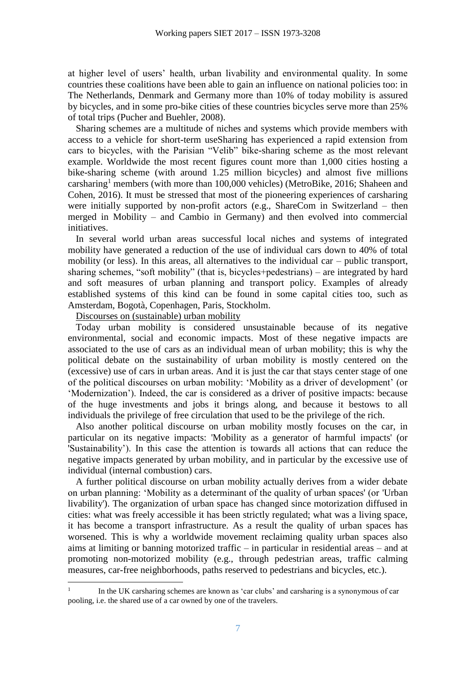at higher level of users' health, urban livability and environmental quality. In some countries these coalitions have been able to gain an influence on national policies too: in The Netherlands, Denmark and Germany more than 10% of today mobility is assured by bicycles, and in some pro-bike cities of these countries bicycles serve more than 25% of total trips (Pucher and Buehler, 2008).

Sharing schemes are a multitude of niches and systems which provide members with access to a vehicle for short-term useSharing has experienced a rapid extension from cars to bicycles, with the Parisian "Velib" bike-sharing scheme as the most relevant example. Worldwide the most recent figures count more than 1,000 cities hosting a bike-sharing scheme (with around 1.25 million bicycles) and almost five millions carsharing<sup>1</sup> members (with more than  $100,000$  vehicles) (MetroBike, 2016; Shaheen and Cohen, 2016). It must be stressed that most of the pioneering experiences of carsharing were initially supported by non-profit actors (e.g., ShareCom in Switzerland – then merged in Mobility – and Cambio in Germany) and then evolved into commercial initiatives.

In several world urban areas successful local niches and systems of integrated mobility have generated a reduction of the use of individual cars down to 40% of total mobility (or less). In this areas, all alternatives to the individual car – public transport, sharing schemes, "soft mobility" (that is, bicycles+pedestrians) – are integrated by hard and soft measures of urban planning and transport policy. Examples of already established systems of this kind can be found in some capital cities too, such as Amsterdam, Bogotà, Copenhagen, Paris, Stockholm.

Discourses on (sustainable) urban mobility

 $\overline{a}$ 

Today urban mobility is considered unsustainable because of its negative environmental, social and economic impacts. Most of these negative impacts are associated to the use of cars as an individual mean of urban mobility; this is why the political debate on the sustainability of urban mobility is mostly centered on the (excessive) use of cars in urban areas. And it is just the car that stays center stage of one of the political discourses on urban mobility: 'Mobility as a driver of development' (or 'Modernization'). Indeed, the car is considered as a driver of positive impacts: because of the huge investments and jobs it brings along, and because it bestows to all individuals the privilege of free circulation that used to be the privilege of the rich.

Also another political discourse on urban mobility mostly focuses on the car, in particular on its negative impacts: 'Mobility as a generator of harmful impacts' (or 'Sustainability'). In this case the attention is towards all actions that can reduce the negative impacts generated by urban mobility, and in particular by the excessive use of individual (internal combustion) cars.

A further political discourse on urban mobility actually derives from a wider debate on urban planning: 'Mobility as a determinant of the quality of urban spaces' (or 'Urban livability'). The organization of urban space has changed since motorization diffused in cities: what was freely accessible it has been strictly regulated; what was a living space, it has become a transport infrastructure. As a result the quality of urban spaces has worsened. This is why a worldwide movement reclaiming quality urban spaces also aims at limiting or banning motorized traffic – in particular in residential areas – and at promoting non-motorized mobility (e.g., through pedestrian areas, traffic calming measures, car-free neighborhoods, paths reserved to pedestrians and bicycles, etc.).

<sup>1</sup> In the UK carsharing schemes are known as 'car clubs' and carsharing is a synonymous of car pooling, i.e. the shared use of a car owned by one of the travelers.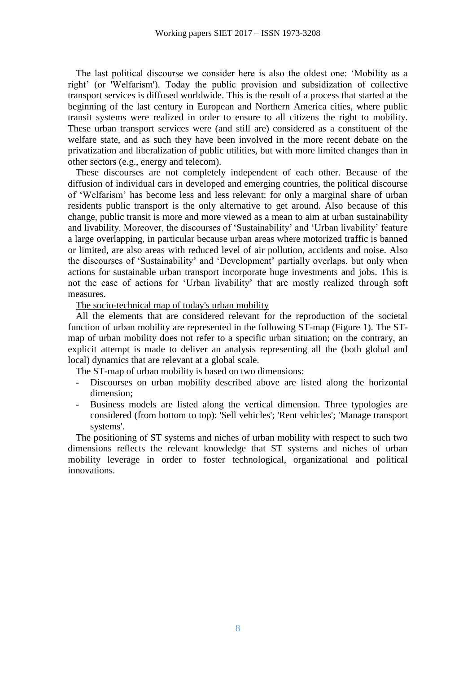The last political discourse we consider here is also the oldest one: 'Mobility as a right' (or 'Welfarism'). Today the public provision and subsidization of collective transport services is diffused worldwide. This is the result of a process that started at the beginning of the last century in European and Northern America cities, where public transit systems were realized in order to ensure to all citizens the right to mobility. These urban transport services were (and still are) considered as a constituent of the welfare state, and as such they have been involved in the more recent debate on the privatization and liberalization of public utilities, but with more limited changes than in other sectors (e.g., energy and telecom).

These discourses are not completely independent of each other. Because of the diffusion of individual cars in developed and emerging countries, the political discourse of 'Welfarism' has become less and less relevant: for only a marginal share of urban residents public transport is the only alternative to get around. Also because of this change, public transit is more and more viewed as a mean to aim at urban sustainability and livability. Moreover, the discourses of 'Sustainability' and 'Urban livability' feature a large overlapping, in particular because urban areas where motorized traffic is banned or limited, are also areas with reduced level of air pollution, accidents and noise. Also the discourses of 'Sustainability' and 'Development' partially overlaps, but only when actions for sustainable urban transport incorporate huge investments and jobs. This is not the case of actions for 'Urban livability' that are mostly realized through soft measures.

The socio-technical map of today's urban mobility

All the elements that are considered relevant for the reproduction of the societal function of urban mobility are represented in the following ST-map (Figure 1). The STmap of urban mobility does not refer to a specific urban situation; on the contrary, an explicit attempt is made to deliver an analysis representing all the (both global and local) dynamics that are relevant at a global scale.

The ST-map of urban mobility is based on two dimensions:

- Discourses on urban mobility described above are listed along the horizontal dimension;
- Business models are listed along the vertical dimension. Three typologies are considered (from bottom to top): 'Sell vehicles'; 'Rent vehicles'; 'Manage transport systems'.

The positioning of ST systems and niches of urban mobility with respect to such two dimensions reflects the relevant knowledge that ST systems and niches of urban mobility leverage in order to foster technological, organizational and political innovations.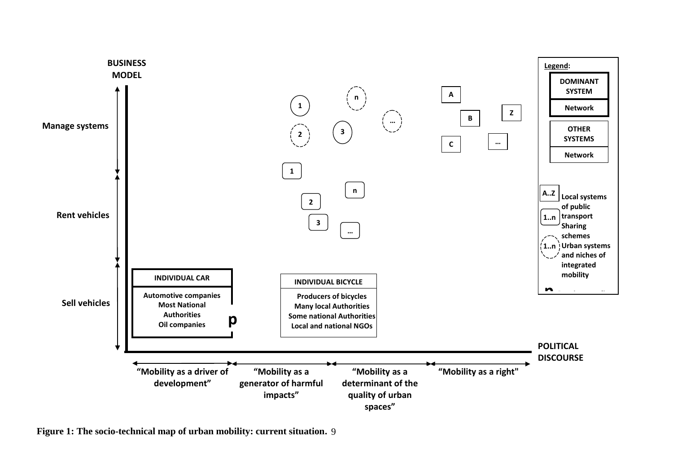

**Figure 1: The socio-technical map of urban mobility: current situation.** 9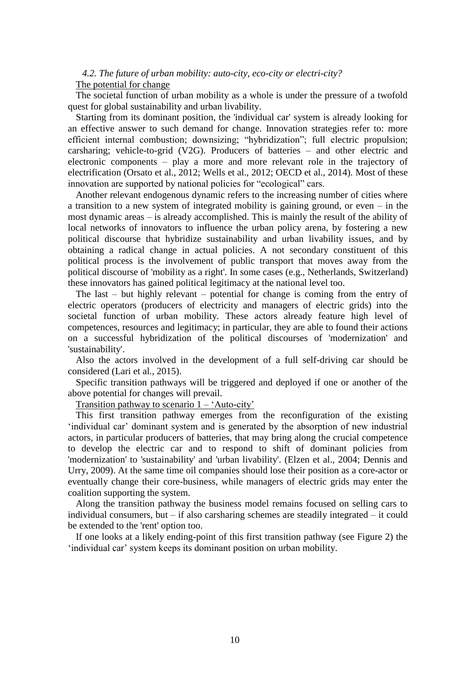## *4.2. The future of urban mobility: auto-city, eco-city or electri-city?*

## The potential for change

The societal function of urban mobility as a whole is under the pressure of a twofold quest for global sustainability and urban livability.

Starting from its dominant position, the 'individual car' system is already looking for an effective answer to such demand for change. Innovation strategies refer to: more efficient internal combustion; downsizing; "hybridization"; full electric propulsion; carsharing; vehicle-to-grid (V2G). Producers of batteries – and other electric and electronic components – play a more and more relevant role in the trajectory of electrification (Orsato et al., 2012; Wells et al., 2012; OECD et al., 2014). Most of these innovation are supported by national policies for "ecological" cars.

Another relevant endogenous dynamic refers to the increasing number of cities where a transition to a new system of integrated mobility is gaining ground, or even – in the most dynamic areas – is already accomplished. This is mainly the result of the ability of local networks of innovators to influence the urban policy arena, by fostering a new political discourse that hybridize sustainability and urban livability issues, and by obtaining a radical change in actual policies. A not secondary constituent of this political process is the involvement of public transport that moves away from the political discourse of 'mobility as a right'. In some cases (e.g., Netherlands, Switzerland) these innovators has gained political legitimacy at the national level too.

The last – but highly relevant – potential for change is coming from the entry of electric operators (producers of electricity and managers of electric grids) into the societal function of urban mobility. These actors already feature high level of competences, resources and legitimacy; in particular, they are able to found their actions on a successful hybridization of the political discourses of 'modernization' and 'sustainability'.

Also the actors involved in the development of a full self-driving car should be considered (Lari et al., 2015).

Specific transition pathways will be triggered and deployed if one or another of the above potential for changes will prevail.

Transition pathway to scenario  $1 - 'Auto\text{-}city'$ 

This first transition pathway emerges from the reconfiguration of the existing 'individual car' dominant system and is generated by the absorption of new industrial actors, in particular producers of batteries, that may bring along the crucial competence to develop the electric car and to respond to shift of dominant policies from 'modernization' to 'sustainability' and 'urban livability'. (Elzen et al., 2004; Dennis and Urry, 2009). At the same time oil companies should lose their position as a core-actor or eventually change their core-business, while managers of electric grids may enter the coalition supporting the system.

Along the transition pathway the business model remains focused on selling cars to individual consumers, but – if also carsharing schemes are steadily integrated – it could be extended to the 'rent' option too.

If one looks at a likely ending-point of this first transition pathway (see Figure 2) the 'individual car' system keeps its dominant position on urban mobility.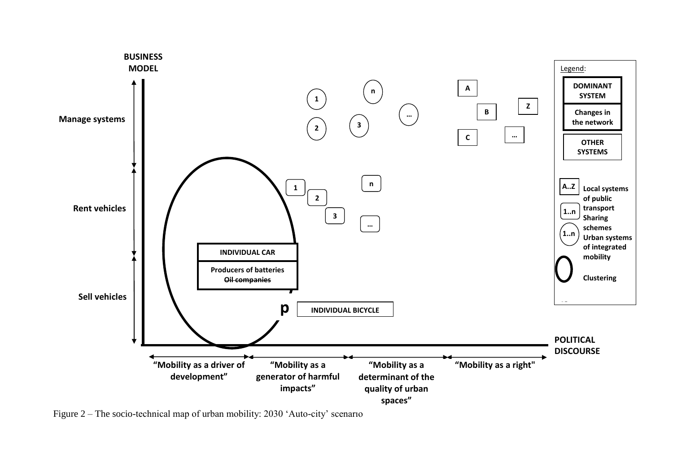

Figure 2 – The socio-technical map of urban mobility: 2030 'Auto-city' scenario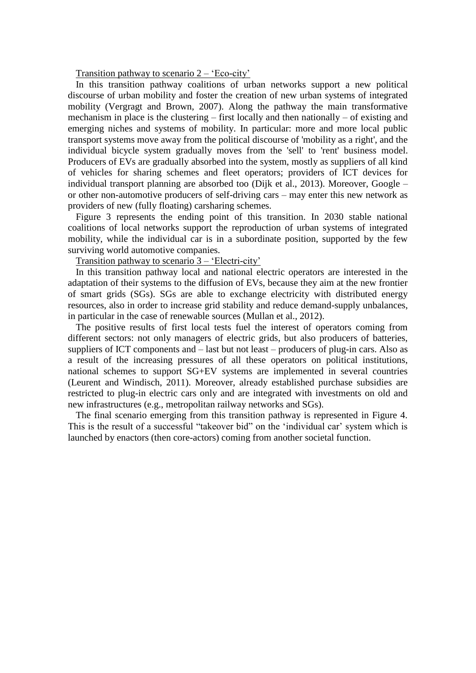Transition pathway to <u>scenario  $2 -$  'Eco-city'</u>

In this transition pathway coalitions of urban networks support a new political discourse of urban mobility and foster the creation of new urban systems of integrated mobility (Vergragt and Brown, 2007). Along the pathway the main transformative mechanism in place is the clustering – first locally and then nationally – of existing and emerging niches and systems of mobility. In particular: more and more local public transport systems move away from the political discourse of 'mobility as a right', and the individual bicycle system gradually moves from the 'sell' to 'rent' business model. Producers of EVs are gradually absorbed into the system, mostly as suppliers of all kind of vehicles for sharing schemes and fleet operators; providers of ICT devices for individual transport planning are absorbed too (Dijk et al., 2013). Moreover, Google – or other non-automotive producers of self-driving cars – may enter this new network as providers of new (fully floating) carsharing schemes.

Figure 3 represents the ending point of this transition. In 2030 stable national coalitions of local networks support the reproduction of urban systems of integrated mobility, while the individual car is in a subordinate position, supported by the few surviving world automotive companies.

Transition pathway to scenario 3 – 'Electri-city'

In this transition pathway local and national electric operators are interested in the adaptation of their systems to the diffusion of EVs, because they aim at the new frontier of smart grids (SGs). SGs are able to exchange electricity with distributed energy resources, also in order to increase grid stability and reduce demand-supply unbalances, in particular in the case of renewable sources (Mullan et al., 2012).

The positive results of first local tests fuel the interest of operators coming from different sectors: not only managers of electric grids, but also producers of batteries, suppliers of ICT components and – last but not least – producers of plug-in cars. Also as a result of the increasing pressures of all these operators on political institutions, national schemes to support SG+EV systems are implemented in several countries (Leurent and Windisch, 2011). Moreover, already established purchase subsidies are restricted to plug-in electric cars only and are integrated with investments on old and new infrastructures (e.g., metropolitan railway networks and SGs).

The final scenario emerging from this transition pathway is represented in Figure 4. This is the result of a successful "takeover bid" on the 'individual car' system which is launched by enactors (then core-actors) coming from another societal function.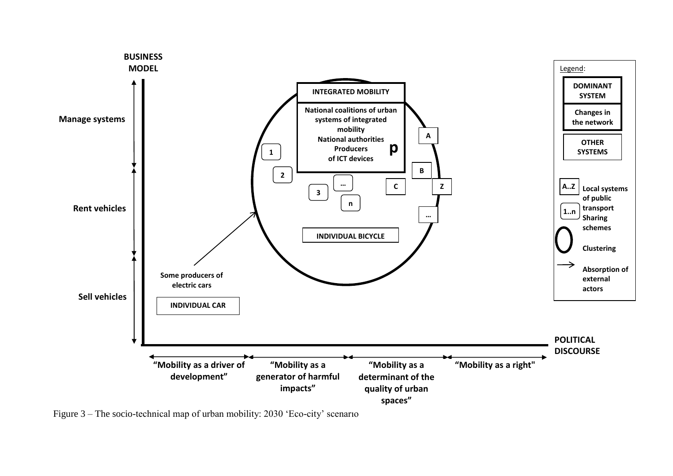

Figure 3 – The socio-technical map of urban mobility: 2030 'Eco-city' scenario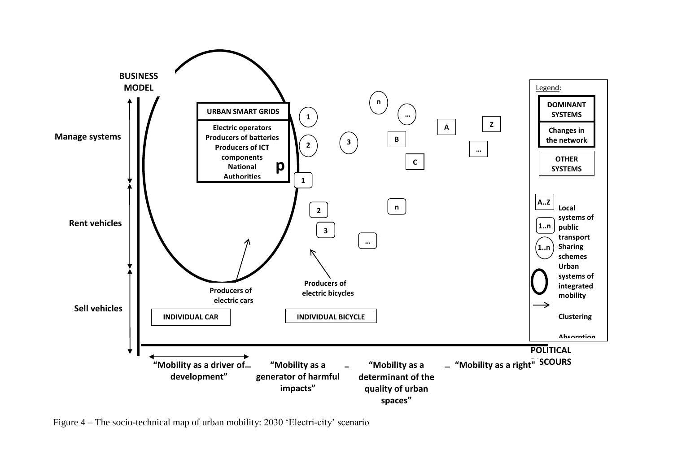

Figure 4 – The socio-technical map of urban mobility: 2030 'Electri-city' scenario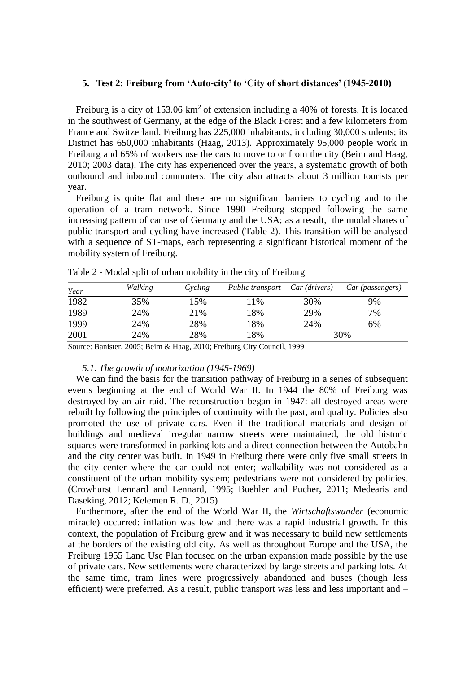## **5. Test 2: Freiburg from 'Auto-city' to 'City of short distances' (1945-2010)**

Freiburg is a city of  $153.06 \text{ km}^2$  of extension including a 40% of forests. It is located in the southwest of Germany, at the edge of the Black Forest and a few kilometers from France and Switzerland. Freiburg has 225,000 inhabitants, including 30,000 students; its District has 650,000 inhabitants (Haag, 2013). Approximately 95,000 people work in Freiburg and 65% of workers use the cars to move to or from the city (Beim and Haag, 2010; 2003 data). The city has experienced over the years, a systematic growth of both outbound and inbound commuters. The city also attracts about 3 million tourists per year.

Freiburg is quite flat and there are no significant barriers to cycling and to the operation of a tram network. Since 1990 Freiburg stopped following the same increasing pattern of car use of Germany and the USA; as a result, the modal shares of public transport and cycling have increased (Table 2). This transition will be analysed with a sequence of ST-maps, each representing a significant historical moment of the mobility system of Freiburg.

| Year | Walking | Cycling | Public transport Car (drivers) |     | Car (passengers) |
|------|---------|---------|--------------------------------|-----|------------------|
| 1982 | 35%     | 15%     | 11%                            | 30% | 9%               |
| 1989 | 24%     | 21%     | 18%                            | 29% | 7%               |
| 1999 | 24%     | 28%     | 18%                            | 24% | 6%               |
| 2001 | 24%     | 28%     | 18%                            | 30% |                  |

Table 2 - Modal split of urban mobility in the city of Freiburg

Source: Banister, 2005; Beim & Haag, 2010; Freiburg City Council, 1999

## *5.1. The growth of motorization (1945-1969)*

We can find the basis for the transition pathway of Freiburg in a series of subsequent events beginning at the end of World War II. In 1944 the 80% of Freiburg was destroyed by an air raid. The reconstruction began in 1947: all destroyed areas were rebuilt by following the principles of continuity with the past, and quality. Policies also promoted the use of private cars. Even if the traditional materials and design of buildings and medieval irregular narrow streets were maintained, the old historic squares were transformed in parking lots and a direct connection between the Autobahn and the city center was built. In 1949 in Freiburg there were only five small streets in the city center where the car could not enter; walkability was not considered as a constituent of the urban mobility system; pedestrians were not considered by policies. (Crowhurst Lennard and Lennard, 1995; Buehler and Pucher, 2011; Medearis and Daseking, 2012; Kelemen R. D., 2015)

Furthermore, after the end of the World War II, the *Wirtschaftswunder* (economic miracle) occurred: inflation was low and there was a rapid industrial growth. In this context, the population of Freiburg grew and it was necessary to build new settlements at the borders of the existing old city. As well as throughout Europe and the USA, the Freiburg 1955 Land Use Plan focused on the urban expansion made possible by the use of private cars. New settlements were characterized by large streets and parking lots. At the same time, tram lines were progressively abandoned and buses (though less efficient) were preferred. As a result, public transport was less and less important and –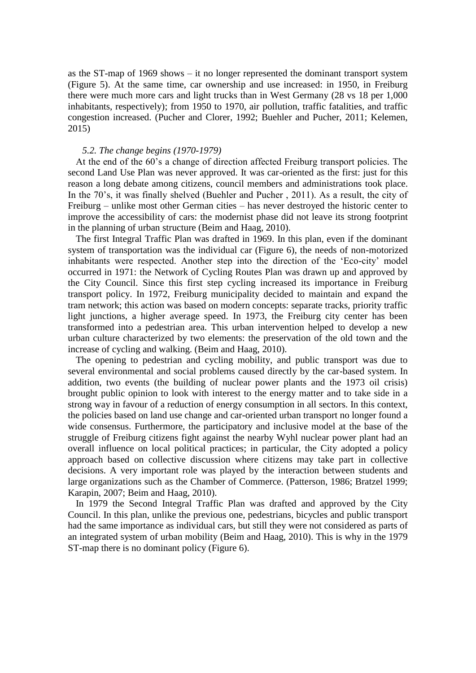as the ST-map of 1969 shows – it no longer represented the dominant transport system (Figure 5). At the same time, car ownership and use increased: in 1950, in Freiburg there were much more cars and light trucks than in West Germany (28 vs 18 per 1,000 inhabitants, respectively); from 1950 to 1970, air pollution, traffic fatalities, and traffic congestion increased. (Pucher and Clorer, 1992; Buehler and Pucher, 2011; Kelemen, 2015)

#### *5.2. The change begins (1970-1979)*

At the end of the 60's a change of direction affected Freiburg transport policies. The second Land Use Plan was never approved. It was car-oriented as the first: just for this reason a long debate among citizens, council members and administrations took place. In the 70's, it was finally shelved (Buehler and Pucher , 2011). As a result, the city of Freiburg – unlike most other German cities – has never destroyed the historic center to improve the accessibility of cars: the modernist phase did not leave its strong footprint in the planning of urban structure (Beim and Haag, 2010).

The first Integral Traffic Plan was drafted in 1969. In this plan, even if the dominant system of transportation was the individual car (Figure 6), the needs of non-motorized inhabitants were respected. Another step into the direction of the 'Eco-city' model occurred in 1971: the Network of Cycling Routes Plan was drawn up and approved by the City Council. Since this first step cycling increased its importance in Freiburg transport policy. In 1972, Freiburg municipality decided to maintain and expand the tram network; this action was based on modern concepts: separate tracks, priority traffic light junctions, a higher average speed. In 1973, the Freiburg city center has been transformed into a pedestrian area. This urban intervention helped to develop a new urban culture characterized by two elements: the preservation of the old town and the increase of cycling and walking. (Beim and Haag, 2010).

The opening to pedestrian and cycling mobility, and public transport was due to several environmental and social problems caused directly by the car-based system. In addition, two events (the building of nuclear power plants and the 1973 oil crisis) brought public opinion to look with interest to the energy matter and to take side in a strong way in favour of a reduction of energy consumption in all sectors. In this context, the policies based on land use change and car-oriented urban transport no longer found a wide consensus. Furthermore, the participatory and inclusive model at the base of the struggle of Freiburg citizens fight against the nearby Wyhl nuclear power plant had an overall influence on local political practices; in particular, the City adopted a policy approach based on collective discussion where citizens may take part in collective decisions. A very important role was played by the interaction between students and large organizations such as the Chamber of Commerce. (Patterson, 1986; Bratzel 1999; Karapin, 2007; Beim and Haag, 2010).

In 1979 the Second Integral Traffic Plan was drafted and approved by the City Council. In this plan, unlike the previous one, pedestrians, bicycles and public transport had the same importance as individual cars, but still they were not considered as parts of an integrated system of urban mobility (Beim and Haag, 2010). This is why in the 1979 ST-map there is no dominant policy (Figure 6).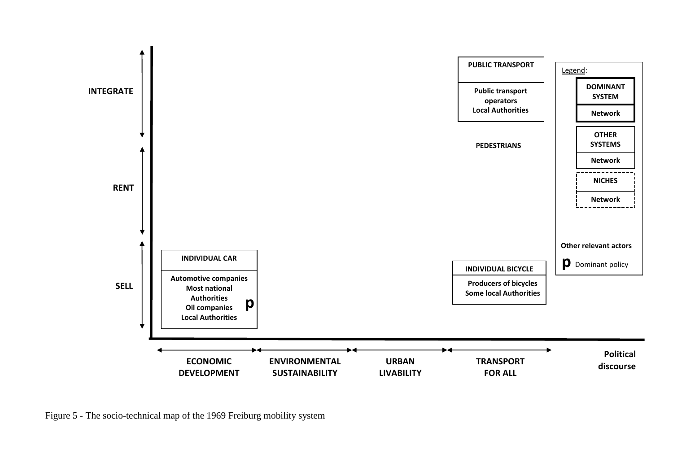

Figure 5 - The socio-technical map of the 1969 Freiburg mobility system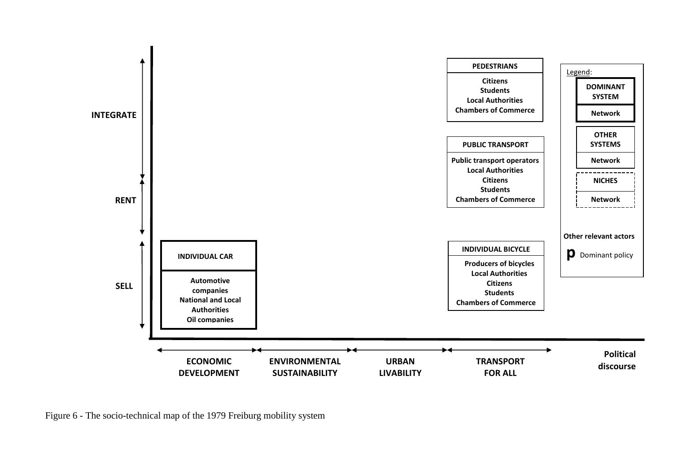

Figure 6 - The socio-technical map of the 1979 Freiburg mobility system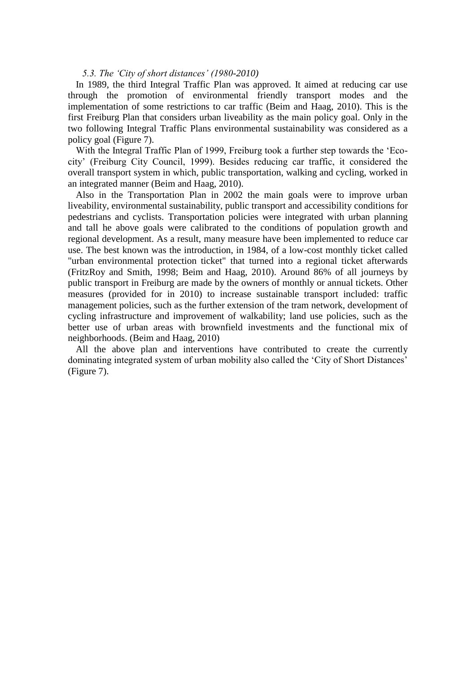## *5.3. The 'City of short distances' (1980-2010)*

In 1989, the third Integral Traffic Plan was approved. It aimed at reducing car use through the promotion of environmental friendly transport modes and the implementation of some restrictions to car traffic (Beim and Haag, 2010). This is the first Freiburg Plan that considers urban liveability as the main policy goal. Only in the two following Integral Traffic Plans environmental sustainability was considered as a policy goal (Figure 7).

With the Integral Traffic Plan of 1999, Freiburg took a further step towards the 'Ecocity' (Freiburg City Council, 1999). Besides reducing car traffic, it considered the overall transport system in which, public transportation, walking and cycling, worked in an integrated manner (Beim and Haag, 2010).

Also in the Transportation Plan in 2002 the main goals were to improve urban liveability, environmental sustainability, public transport and accessibility conditions for pedestrians and cyclists. Transportation policies were integrated with urban planning and tall he above goals were calibrated to the conditions of population growth and regional development. As a result, many measure have been implemented to reduce car use. The best known was the introduction, in 1984, of a low-cost monthly ticket called "urban environmental protection ticket" that turned into a regional ticket afterwards (FritzRoy and Smith, 1998; Beim and Haag, 2010). Around 86% of all journeys by public transport in Freiburg are made by the owners of monthly or annual tickets. Other measures (provided for in 2010) to increase sustainable transport included: traffic management policies, such as the further extension of the tram network, development of cycling infrastructure and improvement of walkability; land use policies, such as the better use of urban areas with brownfield investments and the functional mix of neighborhoods. (Beim and Haag, 2010)

All the above plan and interventions have contributed to create the currently dominating integrated system of urban mobility also called the 'City of Short Distances' (Figure 7).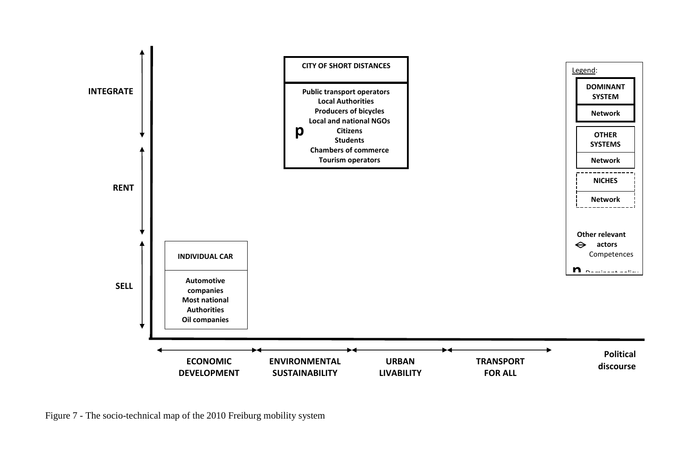

Figure 7 - The socio-technical map of the 2010 Freiburg mobility system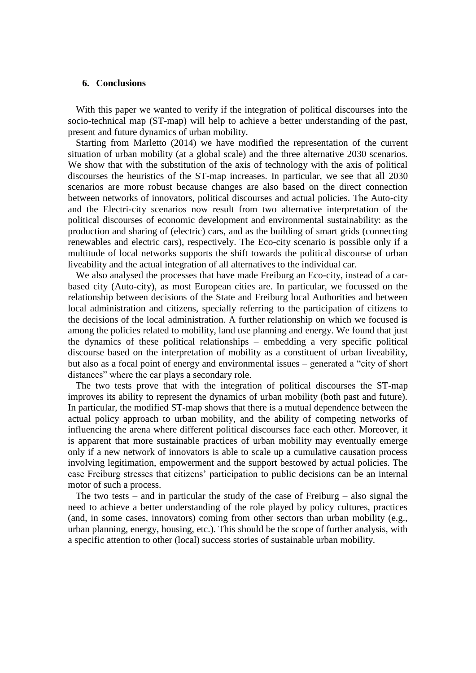## **6. Conclusions**

With this paper we wanted to verify if the integration of political discourses into the socio-technical map (ST-map) will help to achieve a better understanding of the past, present and future dynamics of urban mobility.

Starting from Marletto (2014) we have modified the representation of the current situation of urban mobility (at a global scale) and the three alternative 2030 scenarios. We show that with the substitution of the axis of technology with the axis of political discourses the heuristics of the ST-map increases. In particular, we see that all 2030 scenarios are more robust because changes are also based on the direct connection between networks of innovators, political discourses and actual policies. The Auto-city and the Electri-city scenarios now result from two alternative interpretation of the political discourses of economic development and environmental sustainability: as the production and sharing of (electric) cars, and as the building of smart grids (connecting renewables and electric cars), respectively. The Eco-city scenario is possible only if a multitude of local networks supports the shift towards the political discourse of urban liveability and the actual integration of all alternatives to the individual car.

We also analysed the processes that have made Freiburg an Eco-city, instead of a carbased city (Auto-city), as most European cities are. In particular, we focussed on the relationship between decisions of the State and Freiburg local Authorities and between local administration and citizens, specially referring to the participation of citizens to the decisions of the local administration. A further relationship on which we focused is among the policies related to mobility, land use planning and energy. We found that just the dynamics of these political relationships – embedding a very specific political discourse based on the interpretation of mobility as a constituent of urban liveability, but also as a focal point of energy and environmental issues – generated a "city of short distances" where the car plays a secondary role.

The two tests prove that with the integration of political discourses the ST-map improves its ability to represent the dynamics of urban mobility (both past and future). In particular, the modified ST-map shows that there is a mutual dependence between the actual policy approach to urban mobility, and the ability of competing networks of influencing the arena where different political discourses face each other. Moreover, it is apparent that more sustainable practices of urban mobility may eventually emerge only if a new network of innovators is able to scale up a cumulative causation process involving legitimation, empowerment and the support bestowed by actual policies. The case Freiburg stresses that citizens' participation to public decisions can be an internal motor of such a process.

The two tests – and in particular the study of the case of Freiburg – also signal the need to achieve a better understanding of the role played by policy cultures, practices (and, in some cases, innovators) coming from other sectors than urban mobility (e.g., urban planning, energy, housing, etc.). This should be the scope of further analysis, with a specific attention to other (local) success stories of sustainable urban mobility.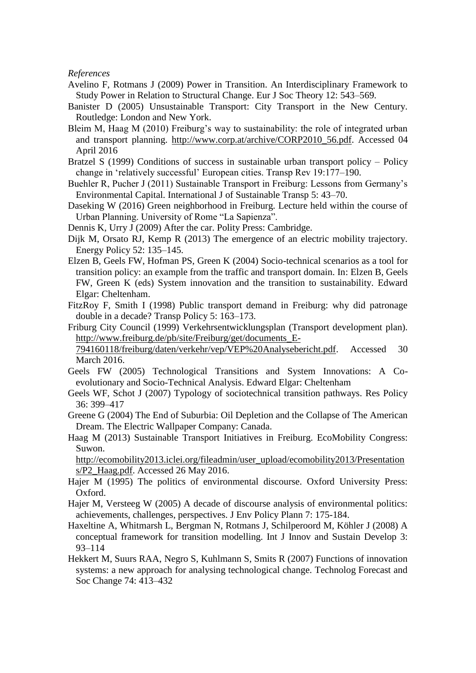*References*

- Avelino F, Rotmans J (2009) Power in Transition. An Interdisciplinary Framework to Study Power in Relation to Structural Change. Eur J Soc Theory 12: 543–569.
- Banister D (2005) Unsustainable Transport: City Transport in the New Century. Routledge: London and New York.
- Bleim M, Haag M (2010) Freiburg's way to sustainability: the role of integrated urban and transport planning. [http://www.corp.at/archive/CORP2010\\_56.pdf.](http://www.corp.at/archive/CORP2010_56.pdf) Accessed 04 April 2016
- Bratzel S (1999) Conditions of success in sustainable urban transport policy Policy change in 'relatively successful' European cities. Transp Rev 19:177–190.
- Buehler R, Pucher J (2011) Sustainable Transport in Freiburg: Lessons from Germany's Environmental Capital. International J of Sustainable Transp 5: 43–70.
- Daseking W (2016) Green neighborhood in Freiburg. Lecture held within the course of Urban Planning. University of Rome "La Sapienza".
- Dennis K, Urry J (2009) After the car. Polity Press: Cambridge.
- Dijk M, Orsato RJ, Kemp R (2013) The emergence of an electric mobility trajectory. Energy Policy 52: 135–145.
- Elzen B, Geels FW, Hofman PS, Green K (2004) Socio-technical scenarios as a tool for transition policy: an example from the traffic and transport domain. In: Elzen B, Geels FW, Green K (eds) System innovation and the transition to sustainability. Edward Elgar: Cheltenham.
- FitzRoy F, Smith I (1998) Public transport demand in Freiburg: why did patronage double in a decade? Transp Policy 5: 163–173.

Friburg City Council (1999) Verkehrsentwicklungsplan (Transport development plan). [http://www.freiburg.de/pb/site/Freiburg/get/documents\\_E-](http://www.freiburg.de/pb/site/Freiburg/get/documents_E-794160118/freiburg/daten/verkehr/vep/VEP%20Analysebericht.pdf)

[794160118/freiburg/daten/verkehr/vep/VEP%20Analysebericht.pdf.](http://www.freiburg.de/pb/site/Freiburg/get/documents_E-794160118/freiburg/daten/verkehr/vep/VEP%20Analysebericht.pdf) Accessed 30 March 2016.

- Geels FW (2005) Technological Transitions and System Innovations: A Coevolutionary and Socio-Technical Analysis. Edward Elgar: Cheltenham
- Geels WF, Schot J (2007) Typology of sociotechnical transition pathways. Res Policy 36: 399–417
- Greene G (2004) The End of Suburbia: Oil Depletion and the Collapse of The American Dream. The Electric Wallpaper Company: Canada.
- Haag M (2013) Sustainable Transport Initiatives in Freiburg. EcoMobility Congress: Suwon.

[http://ecomobility2013.iclei.org/fileadmin/user\\_upload/ecomobility2013/Presentation](http://ecomobility2013.iclei.org/fileadmin/user_upload/ecomobility2013/Presentations/P2_Haag.pdf) s/P2 Haag.pdf. Accessed 26 May 2016.

- Hajer M (1995) The politics of environmental discourse. Oxford University Press: Oxford.
- Hajer M, Versteeg W (2005) A decade of discourse analysis of environmental politics: achievements, challenges, perspectives. J Env Policy Plann 7: 175-184.
- Haxeltine A, Whitmarsh L, Bergman N, Rotmans J, Schilperoord M, Köhler J (2008) A conceptual framework for transition modelling. Int J Innov and Sustain Develop 3: 93–114
- Hekkert M, Suurs RAA, Negro S, Kuhlmann S, Smits R (2007) Functions of innovation systems: a new approach for analysing technological change. Technolog Forecast and Soc Change 74: 413–432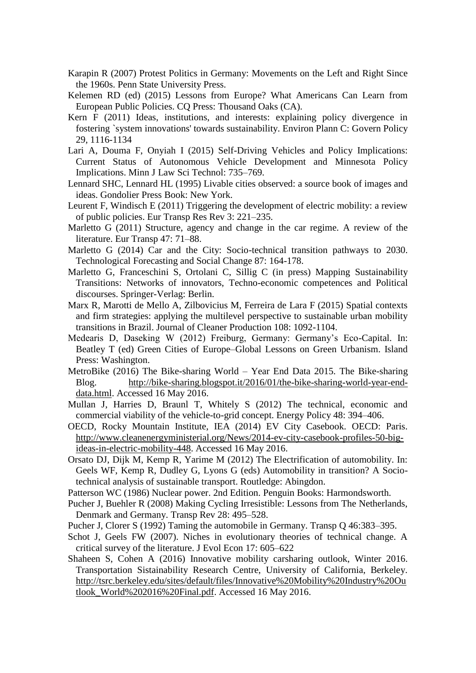- Karapin R (2007) Protest Politics in Germany: Movements on the Left and Right Since the 1960s. Penn State University Press.
- Kelemen RD (ed) (2015) Lessons from Europe? What Americans Can Learn from European Public Policies. CQ Press: Thousand Oaks (CA).
- Kern F (2011) Ideas, institutions, and interests: explaining policy divergence in fostering `system innovations' towards sustainability. Environ Plann C: Govern Policy 29, 1116-1134
- Lari A, Douma F, Onyiah I (2015) Self-Driving Vehicles and Policy Implications: Current Status of Autonomous Vehicle Development and Minnesota Policy Implications. Minn J Law Sci Technol: 735–769.
- Lennard SHC, Lennard HL (1995) Livable cities observed: a source book of images and ideas. Gondolier Press Book: New York.
- Leurent F, Windisch E (2011) Triggering the development of electric mobility: a review of public policies. Eur Transp Res Rev 3: 221–235.
- Marletto G (2011) Structure, agency and change in the car regime. A review of the literature. Eur Transp 47: 71–88.
- Marletto G (2014) Car and the City: Socio-technical transition pathways to 2030. Technological Forecasting and Social Change 87: 164-178.
- Marletto G, Franceschini S, Ortolani C, Sillig C (in press) Mapping Sustainability Transitions: Networks of innovators, Techno-economic competences and Political discourses. Springer-Verlag: Berlin.
- Marx R, Marotti de Mello A, Zilbovicius M, Ferreira de Lara F (2015) Spatial contexts and firm strategies: applying the multilevel perspective to sustainable urban mobility transitions in Brazil. Journal of Cleaner Production 108: 1092-1104.
- Medearis D, Daseking W (2012) Freiburg, Germany: Germany's Eco-Capital. In: Beatley T (ed) Green Cities of Europe–Global Lessons on Green Urbanism. Island Press: Washington.
- MetroBike (2016) The Bike-sharing World Year End Data 2015. The Bike-sharing Blog. [http://bike-sharing.blogspot.it/2016/01/the-bike-sharing-world-year-end](http://bike-sharing.blogspot.it/2016/01/the-bike-sharing-world-year-end-data.html)[data.html.](http://bike-sharing.blogspot.it/2016/01/the-bike-sharing-world-year-end-data.html) Accessed 16 May 2016.
- Mullan J, Harries D, Braunl T, Whitely S (2012) The technical, economic and commercial viability of the vehicle-to-grid concept. Energy Policy 48: 394–406.
- OECD, Rocky Mountain Institute, IEA (2014) EV City Casebook. OECD: Paris. [http://www.cleanenergyministerial.org/News/2014-ev-city-casebook-profiles-50-big](http://www.cleanenergyministerial.org/News/2014-ev-city-casebook-profiles-50-big-ideas-in-electric-mobility-448)[ideas-in-electric-mobility-448.](http://www.cleanenergyministerial.org/News/2014-ev-city-casebook-profiles-50-big-ideas-in-electric-mobility-448) Accessed 16 May 2016.
- Orsato DJ, Dijk M, Kemp R, Yarime M (2012) The Electrification of automobility. In: Geels WF, Kemp R, Dudley G, Lyons G (eds) Automobility in transition? A Sociotechnical analysis of sustainable transport. Routledge: Abingdon.
- Patterson WC (1986) Nuclear power. 2nd Edition. Penguin Books: Harmondsworth.
- Pucher J, Buehler R (2008) Making Cycling Irresistible: Lessons from The Netherlands, Denmark and Germany. Transp Rev 28: 495–528.
- Pucher J, Clorer S (1992) Taming the automobile in Germany. Transp Q 46:383–395.
- Schot J, Geels FW (2007). Niches in evolutionary theories of technical change. A critical survey of the literature. J Evol Econ 17: 605–622
- Shaheen S, Cohen A (2016) Innovative mobility carsharing outlook, Winter 2016. Transportation Sistainability Research Centre, University of California, Berkeley. [http://tsrc.berkeley.edu/sites/default/files/Innovative%20Mobility%20Industry%20Ou](http://tsrc.berkeley.edu/sites/default/files/Innovative%20Mobility%20Industry%20Outlook_World%202016%20Final.pdf) [tlook\\_World%202016%20Final.pdf.](http://tsrc.berkeley.edu/sites/default/files/Innovative%20Mobility%20Industry%20Outlook_World%202016%20Final.pdf) Accessed 16 May 2016.